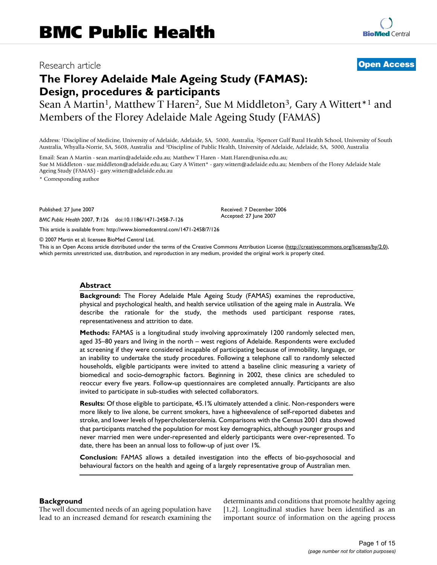# Research article **[Open Access](http://www.biomedcentral.com/info/about/charter/)**

# **The Florey Adelaide Male Ageing Study (FAMAS): Design, procedures & participants**

Sean A Martin<sup>1</sup>, Matthew T Haren<sup>2</sup>, Sue M Middleton<sup>3</sup>, Gary A Wittert<sup>\*1</sup> and Members of the Florey Adelaide Male Ageing Study (FAMAS)

Address: 1Discipline of Medicine, University of Adelaide, Adelaide, SA, 5000, Australia, 2Spencer Gulf Rural Health School, University of South Australia, Whyalla-Norrie, SA, 5608, Australia and 3Discipline of Public Health, University of Adelaide, Adelaide, SA, 5000, Australia

Email: Sean A Martin - sean.martin@adelaide.edu.au; Matthew T Haren - Matt.Haren@unisa.edu.au; Sue M Middleton - sue.middleton@adelaide.edu.au; Gary A Wittert\* - gary.wittert@adelaide.edu.au; Members of the Florey Adelaide Male Ageing Study (FAMAS) - gary.wittert@adelaide.edu.au

\* Corresponding author

Published: 27 June 2007

*BMC Public Health* 2007, **7**:126 doi:10.1186/1471-2458-7-126

[This article is available from: http://www.biomedcentral.com/1471-2458/7/126](http://www.biomedcentral.com/1471-2458/7/126)

© 2007 Martin et al; licensee BioMed Central Ltd.

This is an Open Access article distributed under the terms of the Creative Commons Attribution License [\(http://creativecommons.org/licenses/by/2.0\)](http://creativecommons.org/licenses/by/2.0), which permits unrestricted use, distribution, and reproduction in any medium, provided the original work is properly cited.

Received: 7 December 2006 Accepted: 27 June 2007

#### **Abstract**

**Background:** The Florey Adelaide Male Ageing Study (FAMAS) examines the reproductive, physical and psychological health, and health service utilisation of the ageing male in Australia. We describe the rationale for the study, the methods used participant response rates, representativeness and attrition to date.

**Methods:** FAMAS is a longitudinal study involving approximately 1200 randomly selected men, aged 35–80 years and living in the north – west regions of Adelaide. Respondents were excluded at screening if they were considered incapable of participating because of immobility, language, or an inability to undertake the study procedures. Following a telephone call to randomly selected households, eligible participants were invited to attend a baseline clinic measuring a variety of biomedical and socio-demographic factors. Beginning in 2002, these clinics are scheduled to reoccur every five years. Follow-up questionnaires are completed annually. Participants are also invited to participate in sub-studies with selected collaborators.

**Results:** Of those eligible to participate, 45.1% ultimately attended a clinic. Non-responders were more likely to live alone, be current smokers, have a higheevalence of self-reported diabetes and stroke, and lower levels of hypercholesterolemia. Comparisons with the Census 2001 data showed that participants matched the population for most key demographics, although younger groups and never married men were under-represented and elderly participants were over-represented. To date, there has been an annual loss to follow-up of just over 1%.

**Conclusion:** FAMAS allows a detailed investigation into the effects of bio-psychosocial and behavioural factors on the health and ageing of a largely representative group of Australian men.

#### **Background**

The well documented needs of an ageing population have lead to an increased demand for research examining the determinants and conditions that promote healthy ageing [1,2]. Longitudinal studies have been identified as an important source of information on the ageing process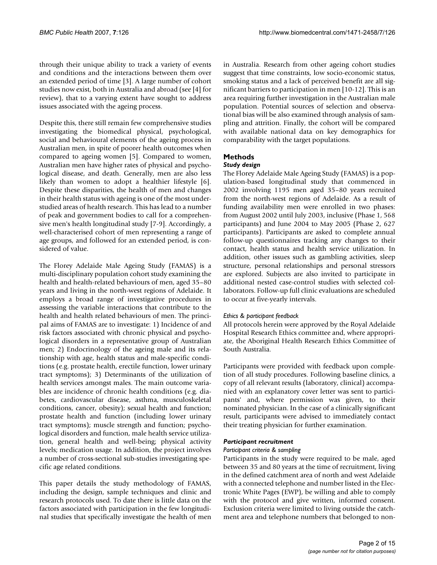through their unique ability to track a variety of events and conditions and the interactions between them over an extended period of time [3]. A large number of cohort studies now exist, both in Australia and abroad (see [4] for review), that to a varying extent have sought to address issues associated with the ageing process.

Despite this, there still remain few comprehensive studies investigating the biomedical physical, psychological, social and behavioural elements of the ageing process in Australian men, in spite of poorer health outcomes when compared to ageing women [5]. Compared to women, Australian men have higher rates of physical and psychological disease, and death. Generally, men are also less likely than women to adopt a healthier lifestyle [6]. Despite these disparities, the health of men and changes in their health status with ageing is one of the most understudied areas of health research. This has lead to a number of peak and government bodies to call for a comprehensive men's health longitudinal study [7-9]. Accordingly, a well-characterised cohort of men representing a range of age groups, and followed for an extended period, is considered of value.

The Florey Adelaide Male Ageing Study (FAMAS) is a multi-disciplinary population cohort study examining the health and health-related behaviours of men, aged 35–80 years and living in the north-west regions of Adelaide. It employs a broad range of investigative procedures in assessing the variable interactions that contribute to the health and health related behaviours of men. The principal aims of FAMAS are to investigate: 1) Incidence of and risk factors associated with chronic physical and psychological disorders in a representative group of Australian men; 2) Endocrinology of the ageing male and its relationship with age, health status and male-specific conditions (e.g. prostate health, erectile function, lower urinary tract symptoms); 3) Determinants of the utilization of health services amongst males. The main outcome variables are incidence of chronic health conditions (e.g. diabetes, cardiovascular disease, asthma, musculoskeletal conditions, cancer, obesity); sexual health and function; prostate health and function (including lower urinary tract symptoms); muscle strength and function; psychological disorders and function, male health service utilization, general health and well-being; physical activity levels; medication usage. In addition, the project involves a number of cross-sectional sub-studies investigating specific age related conditions.

This paper details the study methodology of FAMAS, including the design, sample techniques and clinic and research protocols used. To date there is little data on the factors associated with participation in the few longitudinal studies that specifically investigate the health of men

in Australia. Research from other ageing cohort studies suggest that time constraints, low socio-economic status, smoking status and a lack of perceived benefit are all significant barriers to participation in men [10-12]. This is an area requiring further investigation in the Australian male population. Potential sources of selection and observational bias will be also examined through analysis of sampling and attrition. Finally, the cohort will be compared with available national data on key demographics for comparability with the target populations.

# **Methods**

# *Study design*

The Florey Adelaide Male Ageing Study (FAMAS) is a population-based longitudinal study that commenced in 2002 involving 1195 men aged 35–80 years recruited from the north-west regions of Adelaide. As a result of funding availability men were enrolled in two phases: from August 2002 until July 2003, inclusive (Phase 1, 568 participants) and June 2004 to May 2005 (Phase 2, 627 participants). Participants are asked to complete annual follow-up questionnaires tracking any changes to their contact, health status and health service utilization. In addition, other issues such as gambling activities, sleep structure, personal relationships and personal stressors are explored. Subjects are also invited to participate in additional nested case-control studies with selected collaborators. Follow-up full clinic evaluations are scheduled to occur at five-yearly intervals.

# *Ethics & participant feedback*

All protocols herein were approved by the Royal Adelaide Hospital Research Ethics committee and, where appropriate, the Aboriginal Health Research Ethics Committee of South Australia.

Participants were provided with feedback upon completion of all study procedures. Following baseline clinics, a copy of all relevant results (laboratory, clinical) accompanied with an explanatory cover letter was sent to participants' and, where permission was given, to their nominated physician. In the case of a clinically significant result, participants were advised to immediately contact their treating physician for further examination.

# *Participant recruitment*

#### *Participant criteria & sampling*

Participants in the study were required to be male, aged between 35 and 80 years at the time of recruitment, living in the defined catchment area of north and west Adelaide with a connected telephone and number listed in the Electronic White Pages (EWP), be willing and able to comply with the protocol and give written, informed consent. Exclusion criteria were limited to living outside the catchment area and telephone numbers that belonged to non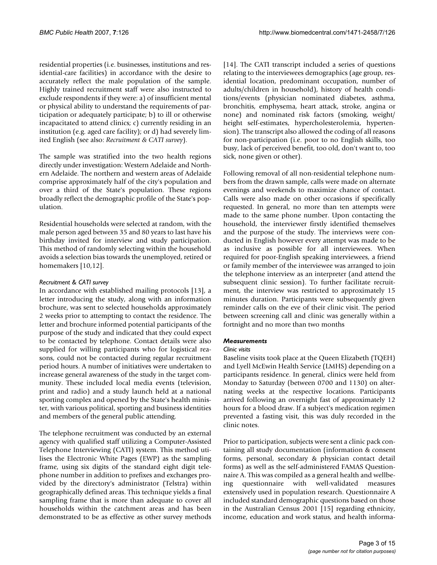residential properties (i.e. businesses, institutions and residential-care facilities) in accordance with the desire to accurately reflect the male population of the sample. Highly trained recruitment staff were also instructed to exclude respondents if they were: a) of insufficient mental or physical ability to understand the requirements of participation or adequately participate; b) to ill or otherwise incapacitated to attend clinics; c) currently residing in an institution (e.g. aged care facility); or d) had severely limited English (see also: *Recruitment & CATI survey*).

The sample was stratified into the two health regions directly under investigation: Western Adelaide and Northern Adelaide. The northern and western areas of Adelaide comprise approximately half of the city's population and over a third of the State's population. These regions broadly reflect the demographic profile of the State's population.

Residential households were selected at random, with the male person aged between 35 and 80 years to last have his birthday invited for interview and study participation. This method of randomly selecting within the household avoids a selection bias towards the unemployed, retired or homemakers [10,12].

# *Recruitment & CATI survey*

In accordance with established mailing protocols [13], a letter introducing the study, along with an information brochure, was sent to selected households approximately 2 weeks prior to attempting to contact the residence. The letter and brochure informed potential participants of the purpose of the study and indicated that they could expect to be contacted by telephone. Contact details were also supplied for willing participants who for logistical reasons, could not be contacted during regular recruitment period hours. A number of initiatives were undertaken to increase general awareness of the study in the target community. These included local media events (television, print and radio) and a study launch held at a national sporting complex and opened by the State's health minister, with various political, sporting and business identities and members of the general public attending.

The telephone recruitment was conducted by an external agency with qualified staff utilizing a Computer-Assisted Telephone Interviewing (CATI) system. This method utilises the Electronic White Pages (EWP) as the sampling frame, using six digits of the standard eight digit telephone number in addition to prefixes and exchanges provided by the directory's administrator (Telstra) within geographically defined areas. This technique yields a final sampling frame that is more than adequate to cover all households within the catchment areas and has been demonstrated to be as effective as other survey methods

[14]. The CATI transcript included a series of questions relating to the interviewees demographics (age group, residential location, predominant occupation, number of adults/children in household), history of health conditions/events (physician nominated diabetes, asthma, bronchitis, emphysema, heart attack, stroke, angina or none) and nominated risk factors (smoking, weight/ height self-estimates, hypercholesterolemia, hypertension). The transcript also allowed the coding of all reasons for non-participation (i.e. poor to no English skills, too busy, lack of perceived benefit, too old, don't want to, too sick, none given or other).

Following removal of all non-residential telephone numbers from the drawn sample, calls were made on alternate evenings and weekends to maximize chance of contact. Calls were also made on other occasions if specifically requested. In general, no more than ten attempts were made to the same phone number. Upon contacting the household, the interviewer firstly identified themselves and the purpose of the study. The interviews were conducted in English however every attempt was made to be as inclusive as possible for all interviewees. When required for poor-English speaking interviewees, a friend or family member of the interviewee was arranged to join the telephone interview as an interpreter (and attend the subsequent clinic session). To further facilitate recruitment, the interview was restricted to approximately 15 minutes duration. Participants were subsequently given reminder calls on the eve of their clinic visit. The period between screening call and clinic was generally within a fortnight and no more than two months

# *Measurements*

# *Clinic visits*

Baseline visits took place at the Queen Elizabeth (TQEH) and Lyell McEwin Health Service (LMHS) depending on a participants residence. In general, clinics were held from Monday to Saturday (between 0700 and 1130) on alternating weeks at the respective locations. Participants arrived following an overnight fast of approximately 12 hours for a blood draw. If a subject's medication regimen prevented a fasting visit, this was duly recorded in the clinic notes.

Prior to participation, subjects were sent a clinic pack containing all study documentation (information & consent forms, personal, secondary & physician contact detail forms) as well as the self-administered FAMAS Questionnaire A. This was compiled as a general health and wellbeing questionnaire with well-validated measures extensively used in population research. Questionnaire A included standard demographic questions based on those in the Australian Census 2001 [15] regarding ethnicity, income, education and work status, and health informa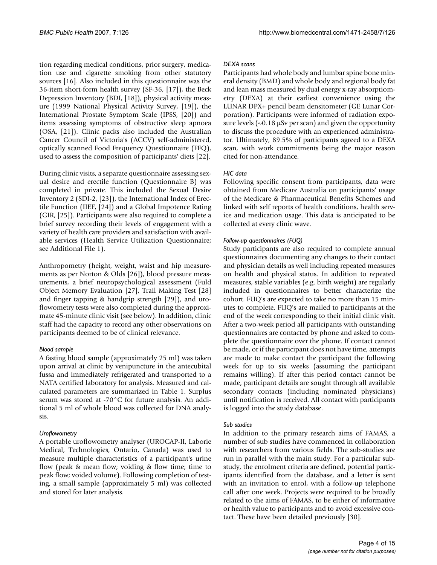tion regarding medical conditions, prior surgery, medication use and cigarette smoking from other statutory sources [16]. Also included in this questionnaire was the 36-item short-form health survey (SF-36, [17]), the Beck Depression Inventory (BDI, [18]), physical activity measure (1999 National Physical Activity Survey, [19]), the International Prostate Symptom Scale (IPSS, [20]) and items assessing symptoms of obstructive sleep apnoea (OSA, [21]). Clinic packs also included the Australian Cancer Council of Victoria's (ACCV) self-administered, optically scanned Food Frequency Questionnaire (FFQ), used to assess the composition of participants' diets [22].

During clinic visits, a separate questionnaire assessing sexual desire and erectile function (Questionnaire B) was completed in private. This included the Sexual Desire Inventory 2 (SDI-2, [23]), the International Index of Erectile Function (IIEF, [24]) and a Global Impotence Rating (GIR, [25]). Participants were also required to complete a brief survey recording their levels of engagement with a variety of health care providers and satisfaction with available services (Health Service Utilization Questionnaire; see Additional File 1).

Anthropometry (height, weight, waist and hip measurements as per Norton & Olds [26]), blood pressure measurements, a brief neuropsychological assessment (Fuld Object Memory Evaluation [27], Trail Making Test [28] and finger tapping & handgrip strength [29]), and uroflowometry tests were also completed during the approximate 45-minute clinic visit (see below). In addition, clinic staff had the capacity to record any other observations on participants deemed to be of clinical relevance.

# *Blood sample*

A fasting blood sample (approximately 25 ml) was taken upon arrival at clinic by venipuncture in the antecubital fussa and immediately refrigerated and transported to a NATA certified laboratory for analysis. Measured and calculated parameters are summarized in Table 1. Surplus serum was stored at -70°C for future analysis. An additional 5 ml of whole blood was collected for DNA analysis.

# *Uroflowometry*

A portable uroflowometry analyser (UROCAP-II, Laborie Medical, Technologies, Ontario, Canada) was used to measure multiple characteristics of a participant's urine flow (peak & mean flow; voiding & flow time; time to peak flow; voided volume). Following completion of testing, a small sample (approximately 5 ml) was collected and stored for later analysis.

#### *DEXA scans*

Participants had whole body and lumbar spine bone mineral density (BMD) and whole body and regional body fat and lean mass measured by dual energy x-ray absorptiometry (DEXA) at their earliest convenience using the LUNAR DPX+ pencil beam densitometer (GE Lunar Corporation). Participants were informed of radiation exposure levels ( $\sim$ 0.18  $\mu$ Sv per scan) and given the opportunity to discuss the procedure with an experienced administrator. Ultimately, 89.5% of participants agreed to a DEXA scan, with work commitments being the major reason cited for non-attendance.

#### *HIC data*

Following specific consent from participants, data were obtained from Medicare Australia on participants' usage of the Medicare & Pharmaceutical Benefits Schemes and linked with self reports of health conditions, health service and medication usage. This data is anticipated to be collected at every clinic wave.

#### *Follow-up questionnaires (FUQ)*

Study participants are also required to complete annual questionnaires documenting any changes to their contact and physician details as well including repeated measures on health and physical status. In addition to repeated measures, stable variables (e.g. birth weight) are regularly included in questionnaires to better characterize the cohort. FUQ's are expected to take no more than 15 minutes to complete. FUQ's are mailed to participants at the end of the week corresponding to their initial clinic visit. After a two-week period all participants with outstanding questionnaires are contacted by phone and asked to complete the questionnaire over the phone. If contact cannot be made, or if the participant does not have time, attempts are made to make contact the participant the following week for up to six weeks (assuming the participant remains willing). If after this period contact cannot be made, participant details are sought through all available secondary contacts (including nominated physicians) until notification is received. All contact with participants is logged into the study database.

#### *Sub studies*

In addition to the primary research aims of FAMAS, a number of sub studies have commenced in collaboration with researchers from various fields. The sub-studies are run in parallel with the main study. For a particular substudy, the enrolment criteria are defined, potential participants identified from the database, and a letter is sent with an invitation to enrol, with a follow-up telephone call after one week. Projects were required to be broadly related to the aims of FAMAS, to be either of informative or health value to participants and to avoid excessive contact. These have been detailed previously [30].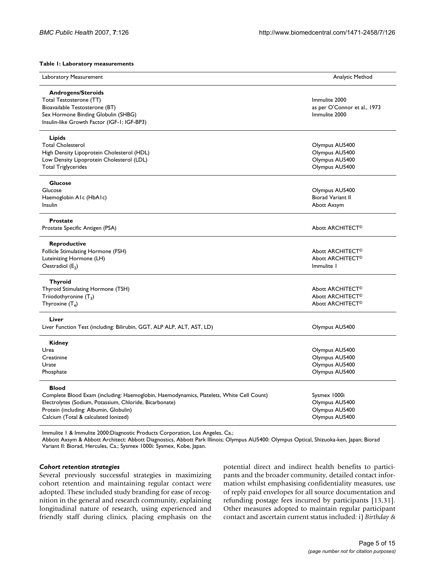**Table 1: Laboratory measurements**

| Laboratory Measurement                                                                   | Analytic Method              |
|------------------------------------------------------------------------------------------|------------------------------|
| <b>Androgens/Steroids</b>                                                                |                              |
| Total Testosterone (TT)                                                                  | Immulite 2000                |
| Bioavailable Testosterone (BT)                                                           | as per O'Connor et al., 1973 |
| Sex Hormone Binding Globulin (SHBG)                                                      | Immulite 2000                |
| Insulin-like Growth Factor (IGF-1; IGF-BP3)                                              |                              |
| Lipids                                                                                   |                              |
| <b>Total Cholesterol</b>                                                                 | Olympus AU5400               |
| High Density Lipoprotein Cholesterol (HDL)                                               | Olympus AU5400               |
| Low Density Lipoprotein Cholesterol (LDL)                                                | Olympus AU5400               |
| <b>Total Triglycerides</b>                                                               | Olympus AU5400               |
| <b>Glucose</b>                                                                           |                              |
| Glucose                                                                                  | Olympus AU5400               |
| Haemoglobin Alc (HbAlc)                                                                  | <b>Biorad Variant II</b>     |
| Insulin                                                                                  | Abott Axsym                  |
| <b>Prostate</b>                                                                          |                              |
| Prostate Specific Antigen (PSA)                                                          | Abott ARCHITECT <sup>®</sup> |
| Reproductive                                                                             |                              |
| Follicle Stimulating Hormone (FSH)                                                       | Abott ARCHITECT <sup>®</sup> |
| Luteinizing Hormone (LH)                                                                 | Abott ARCHITECT <sup>®</sup> |
| Oestradiol $(E_2)$                                                                       | Immulite 1                   |
| <b>Thyroid</b>                                                                           |                              |
| Thyroid Stimulating Hormone (TSH)                                                        | Abott ARCHITECT <sup>®</sup> |
| Triiodothyronine $(T_3)$                                                                 | Abott ARCHITECT <sup>®</sup> |
| Thyroxine $(T_4)$                                                                        | Abott ARCHITECT <sup>®</sup> |
| Liver                                                                                    |                              |
| Liver Function Test (including: Bilirubin, GGT, ALP ALP, ALT, AST, LD)                   | Olympus AU5400               |
| Kidney                                                                                   |                              |
| Urea                                                                                     | Olympus AU5400               |
| Creatinine                                                                               | Olympus AU5400               |
| Urate                                                                                    | Olympus AU5400               |
| Phosphate                                                                                | Olympus AU5400               |
| <b>Blood</b>                                                                             |                              |
| Complete Blood Exam (including: Haemoglobin, Haemodynamics, Platelets, White Cell Count) | Sysmex 1000i                 |
| Electrolytes (Sodium, Potassium, Chloride, Bicarbonate)                                  | Olympus AU5400               |
| Protein (including: Albumin, Globulin)                                                   | Olympus AU5400               |
| Calcium (Total & calculated lonized)                                                     | Olympus AU5400               |
|                                                                                          |                              |

Immulite 1 & Immulite 2000:Diagnostic Products Corporation, Los Angeles, Ca.;

Abbott Axsym & Abbott Architect: Abbott Diagnostics, Abbott Park Illinois; Olympus AU5400: Olympus Optical, Shizuoka-ken, Japan; Biorad Variant II: Biorad, Hercules, Ca.; Sysmex 1000i: Sysmex, Kobe, Japan.

#### *Cohort retention strategies*

Several previously successful strategies in maximizing cohort retention and maintaining regular contact were adopted. These included study branding for ease of recognition in the general and research community, explaining longitudinal nature of research, using experienced and friendly staff during clinics, placing emphasis on the potential direct and indirect health benefits to participants and the broader community, detailed contact information whilst emphasising confidentiality measures, use of reply paid envelopes for all source documentation and refunding postage fees incurred by participants [13,31]. Other measures adopted to maintain regular participant contact and ascertain current status included: i) *Birthday &*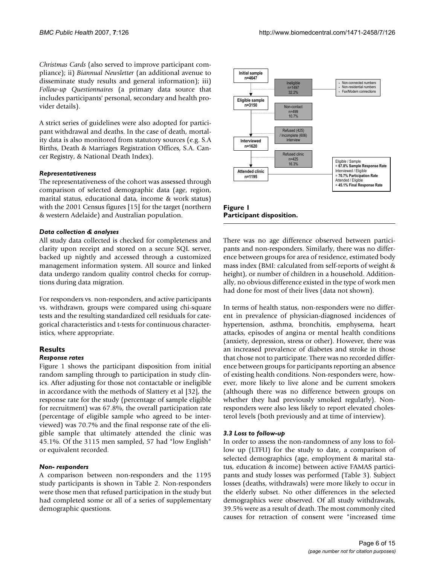*Christmas Cards* (also served to improve participant compliance); ii) *Biannual Newsletter* (an additional avenue to disseminate study results and general information); iii) *Follow-up Questionnaires* (a primary data source that includes participants' personal, secondary and health provider details).

A strict series of guidelines were also adopted for participant withdrawal and deaths. In the case of death, mortality data is also monitored from statutory sources (e.g. S.A Births, Death & Marriages Registration Offices, S.A. Cancer Registry, & National Death Index).

#### *Representativeness*

The representativeness of the cohort was assessed through comparison of selected demographic data (age, region, marital status, educational data, income & work status) with the 2001 Census figures [15] for the target (northern & western Adelaide) and Australian population.

#### *Data collection & analyses*

All study data collected is checked for completeness and clarity upon receipt and stored on a secure SQL server, backed up nightly and accessed through a customized management information system. All source and linked data undergo random quality control checks for corruptions during data migration.

For responders vs. non-responders, and active participants vs. withdrawn, groups were compared using chi-square tests and the resulting standardized cell residuals for categorical characteristics and t-tests for continuous characteristics, where appropriate.

# **Results**

#### *Response rates*

Figure 1 shows the participant disposition from initial random sampling through to participation in study clinics. After adjusting for those not contactable or ineligible in accordance with the methods of Slattery et al [32], the response rate for the study (percentage of sample eligible for recruitment) was 67.8%, the overall participation rate (percentage of eligible sample who agreed to be interviewed) was 70.7% and the final response rate of the eligible sample that ultimately attended the clinic was 45.1%. Of the 3115 men sampled, 57 had "low English" or equivalent recorded.

# *Non- responders*

A comparison between non-responders and the 1195 study participants is shown in Table 2. Non-responders were those men that refused participation in the study but had completed some or all of a series of supplementary demographic questions.





There was no age difference observed between participants and non-responders. Similarly, there was no difference between groups for area of residence, estimated body mass index (BMI: calculated from self-reports of weight & height), or number of children in a household. Additionally, no obvious difference existed in the type of work men had done for most of their lives (data not shown).

In terms of health status, non-responders were no different in prevalence of physician-diagnosed incidences of hypertension, asthma, bronchitis, emphysema, heart attacks, episodes of angina or mental health conditions (anxiety, depression, stress or other). However, there was an increased prevalence of diabetes and stroke in those that chose not to participate. There was no recorded difference between groups for participants reporting an absence of existing health conditions. Non-responders were, however, more likely to live alone and be current smokers (although there was no difference between groups on whether they had previously smoked regularly). Nonresponders were also less likely to report elevated cholesterol levels (both previously and at time of interview).

# *3.3 Loss to follow-up*

In order to assess the non-randomness of any loss to follow up (LTFU) for the study to date, a comparison of selected demographics (age, employment & marital status, education & income) between active FAMAS participants and study losses was performed (Table 3). Subject losses (deaths, withdrawals) were more likely to occur in the elderly subset. No other differences in the selected demographics were observed. Of all study withdrawals, 39.5% were as a result of death. The most commonly cited causes for retraction of consent were "increased time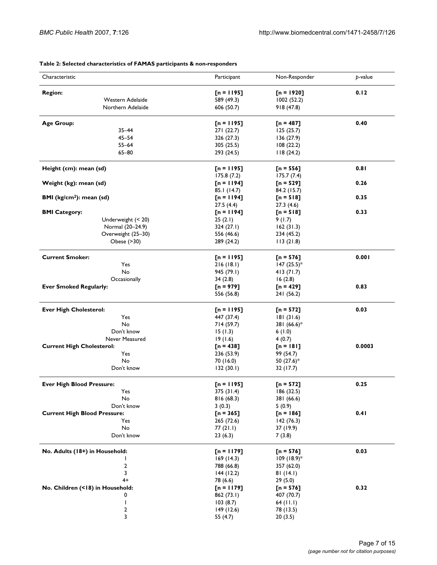| Characteristic                      | Participant  | Non-Responder             | p-value |
|-------------------------------------|--------------|---------------------------|---------|
| <b>Region:</b>                      | $[n = 1195]$ | $\Gamma$ n = 1920]        | 0.12    |
| Western Adelaide                    | 589 (49.3)   | 1002(52.2)                |         |
| Northern Adelaide                   | 606 (50.7)   | 918 (47.8)                |         |
| <b>Age Group:</b>                   | $[n = 1195]$ |                           | 0.40    |
| $35 - 44$                           |              | [n = 487]                 |         |
|                                     | 271 (22.7)   | 125(25.7)                 |         |
| $45 - 54$                           | 326 (27.3)   | 136(27.9)                 |         |
| $55 - 64$                           | 305 (25.5)   | 108(22.2)                 |         |
| $65 - 80$                           | 293 (24.5)   | 118(24.2)                 |         |
| Height (cm): mean (sd)              | $[n = 1195]$ | $[n = 556]$               | 0.81    |
|                                     | 175.8(7.2)   | 175.7(7.4)                |         |
| Weight (kg): mean (sd)              | $[n = 1194]$ | $[n = 529]$               | 0.26    |
|                                     | 85.1 (14.7)  | 84.2 (15.7)               |         |
| <b>BMI</b> ( $kg/cm2$ ): mean (sd)  | $[n = 1194]$ | $[n = 518]$               | 0.35    |
|                                     | 27.5(4.4)    | 27.3 (4.6)                |         |
| <b>BMI Category:</b>                | $[n = 1194]$ | $[n = 518]$               | 0.33    |
| Underweight (< 20)                  | 25(2.1)      | 9(1.7)                    |         |
| Normal (20-24.9)                    | 324(27.1)    |                           |         |
|                                     |              | 162(31.3)                 |         |
| Overweight (25-30)                  | 556 (46.6)   | 234 (45.2)                |         |
| Obese (>30)                         | 289 (24.2)   | 113(21.8)                 |         |
| <b>Current Smoker:</b>              | $[n = 1195]$ | [n = 576]                 | 0.001   |
| Yes                                 | 216(18.1)    | $147 (25.5)^*$            |         |
| No                                  | 945 (79.1)   | 413(71.7)                 |         |
| Occasionally                        | 34(2.8)      | 16(2.8)                   |         |
| <b>Ever Smoked Regularly:</b>       | $[n = 979]$  | $[n = 429]$               | 0.83    |
|                                     | 556 (56.8)   | 241 (56.2)                |         |
| <b>Ever High Cholesterol:</b>       | $[n = 1195]$ | $[n = 572]$               | 0.03    |
|                                     |              |                           |         |
| Yes                                 | 447 (37.4)   | 181(31.6)                 |         |
| No                                  | 714 (59.7)   | 381 (66.6)*               |         |
| Don't know                          | 15(1.3)      | 6(1.0)                    |         |
| Never Measured                      | 19(1.6)      | 4(0.7)                    |         |
| <b>Current High Cholesterol:</b>    | $[n = 438]$  | $[n = 181]$               | 0.0003  |
| Yes                                 | 236 (53.9)   | 99 (54.7)                 |         |
| No                                  | 70 (16.0)    | 50 (27.6)*                |         |
| Don't know                          | 132(30.1)    | 32 (17.7)                 |         |
| <b>Ever High Blood Pressure:</b>    | $[n = 1195]$ | $[n = 572]$               | 0.25    |
| Yes                                 | 375 (31.4)   | 186 (32.5)                |         |
| No                                  | 816 (68.3)   | 381 (66.6)                |         |
| Don't know                          | 3(0.3)       | 5(0.9)                    |         |
| <b>Current High Blood Pressure:</b> | $[n = 365]$  | $[n = 186]$               | 0.41    |
|                                     |              |                           |         |
| Yes                                 | 265 (72.6)   | 142(76.3)                 |         |
| No                                  | 77 (21.1)    | 37 (19.9)                 |         |
| Don't know                          | 23(6.3)      | 7(3.8)                    |         |
| No. Adults (18+) in Household:      | $[n = 1179]$ | $[n = 576]$               | 0.03    |
| L                                   | 169(14.3)    | $109$ (18.9) <sup>*</sup> |         |
| 2                                   | 788 (66.8)   | 357 (62.0)                |         |
| 3                                   | 144(12.2)    | 81 (14.1)                 |         |
| $4+$                                | 78 (6.6)     | 29 (5.0)                  |         |
| No. Children (<18) in Household:    | [n = 1179]   | $[n = 576]$               | 0.32    |
| 0                                   | 862 (73.1)   | 407 (70.7)                |         |
|                                     |              |                           |         |
| I                                   | 103(8.7)     | 64 (II.I)                 |         |
| 2                                   | 149(12.6)    | 78 (13.5)                 |         |
| 3                                   | 55 (4.7)     | 20 (3.5)                  |         |

#### **Table 2: Selected characteristics of FAMAS participants & non-responders**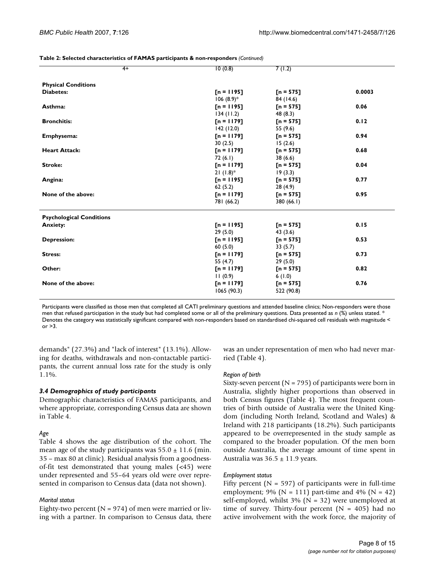| Table 2: Selected characteristics of FAMAS participants & non-responders (Continued) |  |  |  |  |
|--------------------------------------------------------------------------------------|--|--|--|--|
|                                                                                      |  |  |  |  |

| $4+$                            | 10(0.8)      | 7(1.2)      |        |
|---------------------------------|--------------|-------------|--------|
|                                 |              |             |        |
| <b>Physical Conditions</b>      |              |             |        |
| <b>Diabetes:</b>                | $[n = 1195]$ | $[n = 575]$ | 0.0003 |
|                                 | $106(8.9)$ * | 84 (14.6)   |        |
| Asthma:                         | $[n = 1195]$ | $[n = 575]$ | 0.06   |
|                                 | 134(11.2)    | 48(8.3)     |        |
| <b>Bronchitis:</b>              | $[n = 1179]$ | $[n = 575]$ | 0.12   |
|                                 | 142(12.0)    | 55 (9.6)    |        |
| Emphysema:                      | $[n = 1179]$ | $[n = 575]$ | 0.94   |
|                                 | 30(2.5)      | 15(2.6)     |        |
| <b>Heart Attack:</b>            | $[n = 1179]$ | $[n = 575]$ | 0.68   |
|                                 | 72(6.1)      | 38 (6.6)    |        |
| <b>Stroke:</b>                  | $[n = 1179]$ | $[n = 575]$ | 0.04   |
|                                 | $21(1.8)$ *  | 19(3.3)     |        |
| Angina:                         | $[n = 1195]$ | $[n = 575]$ | 0.77   |
|                                 | 62(5.2)      | 28 (4.9)    |        |
| None of the above:              | $[n = 1179]$ | $[n = 575]$ | 0.95   |
|                                 | 781 (66.2)   | 380 (66.1)  |        |
| <b>Psychological Conditions</b> |              |             |        |
| <b>Anxiety:</b>                 | $[n = 1195]$ | $[n = 575]$ | 0.15   |
|                                 | 29(5.0)      | 43 (3.6)    |        |
| <b>Depression:</b>              | $[n = 1195]$ | $[n = 575]$ | 0.53   |
|                                 | 60(5.0)      | 33(5.7)     |        |
| <b>Stress:</b>                  | $[n = 1179]$ | $[n = 575]$ | 0.73   |
|                                 | 55 $(4.7)$   | 29(5.0)     |        |
| Other:                          | $[n = 1179]$ | $[n = 575]$ | 0.82   |
|                                 | 11(0.9)      | 6(1.0)      |        |
| None of the above:              | $[n = 1179]$ | $[n = 575]$ | 0.76   |
|                                 | 1065(90.3)   | 522 (90.8)  |        |
|                                 |              |             |        |

Participants were classified as those men that completed all CATI preliminary questions and attended baseline clinics; Non-responders were those men that refused participation in the study but had completed some or all of the preliminary questions. Data presented as *n* (%) unless stated. \* Denotes the category was statistically significant compared with non-responders based on standardised chi-squared cell residuals with magnitude <  $or >3$ 

demands" (27.3%) and "lack of interest" (13.1%). Allowing for deaths, withdrawals and non-contactable participants, the current annual loss rate for the study is only 1.1%.

# *3.4 Demographics of study participants*

Demographic characteristics of FAMAS participants, and where appropriate, corresponding Census data are shown in Table 4.

# *Age*

Table 4 shows the age distribution of the cohort. The mean age of the study participants was  $55.0 \pm 11.6$  (min. 35 – max 80 at clinic). Residual analysis from a goodnessof-fit test demonstrated that young males (<45) were under represented and 55–64 years old were over represented in comparison to Census data (data not shown).

# *Marital status*

Eighty-two percent ( $N = 974$ ) of men were married or living with a partner. In comparison to Census data, there was an under representation of men who had never married (Table 4).

#### *Region of birth*

Sixty-seven percent ( $N = 795$ ) of participants were born in Australia, slightly higher proportions than observed in both Census figures (Table 4). The most frequent countries of birth outside of Australia were the United Kingdom (including North Ireland, Scotland and Wales) & Ireland with 218 participants (18.2%). Such participants appeared to be overrepresented in the study sample as compared to the broader population. Of the men born outside Australia, the average amount of time spent in Australia was  $36.5 \pm 11.9$  years.

#### *Employment status*

Fifty percent ( $N = 597$ ) of participants were in full-time employment; 9% ( $N = 111$ ) part-time and 4% ( $N = 42$ ) self-employed, whilst  $3\%$  (N = 32) were unemployed at time of survey. Thirty-four percent  $(N = 405)$  had no active involvement with the work force, the majority of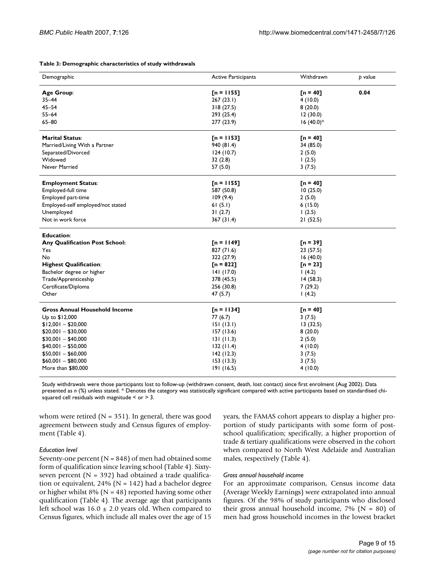| Table 3: Demographic characteristics of study withdrawals |  |
|-----------------------------------------------------------|--|
|-----------------------------------------------------------|--|

| Demographic                           | <b>Active Participants</b> | Withdrawn        | p value |
|---------------------------------------|----------------------------|------------------|---------|
| Age Group:                            | $[n = 1155]$               | $[n = 40]$       | 0.04    |
| $35 - 44$                             | 267(23.1)                  | 4(10.0)          |         |
| $45 - 54$                             | 318(27.5)                  | 8(20.0)          |         |
| $55 - 64$                             | 293 (25.4)                 | 12(30.0)         |         |
| $65 - 80$                             | 277 (23.9)                 | $16(40.0)*$      |         |
| <b>Marital Status:</b>                | $[n = 1153]$               | $[n = 40]$       |         |
| Married/Living With a Partner         | 940 (81.4)                 | 34 (85.0)        |         |
| Separated/Divorced                    | 124(10.7)                  | 2(5.0)           |         |
| Widowed                               | 32(2.8)                    | 1(2.5)           |         |
| Never Married                         | 57 (5.0)                   | 3(7.5)           |         |
| <b>Employment Status:</b>             | $[n = 1155]$               | $\Gamma$ n = 40] |         |
| Employed-full time                    | 587 (50.8)                 | 10(25.0)         |         |
| Employed part-time                    | 109(9.4)                   | 2(5.0)           |         |
| Employed-self employed/not stated     | 61(5.1)                    | 6(15.0)          |         |
| Unemployed                            | 31(2.7)                    | 1(2.5)           |         |
| Not in work force                     | 367 (31.4)                 | 21(52.5)         |         |
| <b>Education:</b>                     |                            |                  |         |
| <b>Any Qualification Post School:</b> | $[n = 1149]$               | $[n = 39]$       |         |
| Yes                                   | 827 (71.6)                 | 23(57.5)         |         |
| No                                    | 322 (27.9)                 | 16(40.0)         |         |
| <b>Highest Qualification:</b>         | $[n = 822]$                | $[n = 23]$       |         |
| Bachelor degree or higher             | 141(17.0)                  | 1(4.2)           |         |
| Trade/Apprenticeship                  | 378 (45.5)                 | 14(58.3)         |         |
| Certificate/Diploma                   | 256 (30.8)                 | 7(29.2)          |         |
| Other                                 | 47(5.7)                    | 1(4.2)           |         |
| <b>Gross Annual Household Income</b>  | $[n = 1134]$               | $[n = 40]$       |         |
| Up to \$12,000                        | 77(6.7)                    | 3(7.5)           |         |
| $$12,001 - $20,000$                   | 151(13.1)                  | 13(32.5)         |         |
| $$20,001 - $30,000$                   | 157(13.6)                  | 8(20.0)          |         |
| $$30,001 - $40,000$                   | 131(11.3)                  | 2(5.0)           |         |
| $$40,001 - $50,000$                   | 132(11.4)                  | 4(10.0)          |         |
| $$50,001 - $60,000$                   | 142(12.3)                  | 3(7.5)           |         |
| $$60,001 - $80,000$                   | 153(13.3)                  | 3(7.5)           |         |
| More than \$80,000                    | 191(16.5)                  | 4(10.0)          |         |

Study withdrawals were those participants lost to follow-up (withdrawn consent, death, lost contact) since first enrolment (Aug 2002). Data presented as *n* (%) unless stated. \* Denotes the category was statistically significant compared with active participants based on standardised chisquared cell residuals with magnitude < or > 3.

whom were retired ( $N = 351$ ). In general, there was good agreement between study and Census figures of employment (Table 4).

#### *Education level*

Seventy-one percent ( $N = 848$ ) of men had obtained some form of qualification since leaving school (Table 4). Sixtyseven percent ( $N = 392$ ) had obtained a trade qualification or equivalent,  $24\%$  (N = 142) had a bachelor degree or higher whilst 8% ( $N = 48$ ) reported having some other qualification (Table 4). The average age that participants left school was  $16.0 \pm 2.0$  years old. When compared to Census figures, which include all males over the age of 15

years, the FAMAS cohort appears to display a higher proportion of study participants with some form of postschool qualification; specifically, a higher proportion of trade & tertiary qualifications were observed in the cohort when compared to North West Adelaide and Australian males, respectively (Table 4).

#### *Gross annual household income*

For an approximate comparison, Census income data (Average Weekly Earnings) were extrapolated into annual figures. Of the 98% of study participants who disclosed their gross annual household income,  $7\%$  (N = 80) of men had gross household incomes in the lowest bracket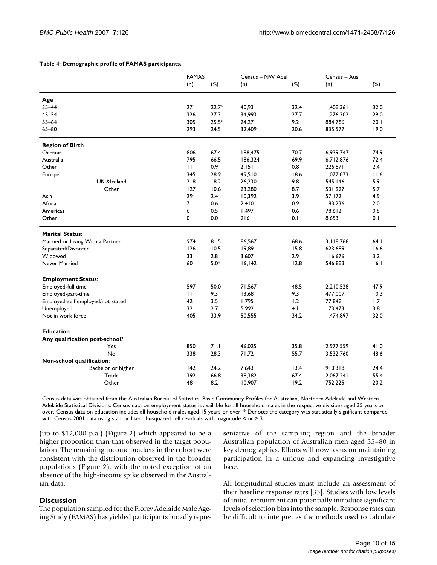#### **Table 4: Demographic profile of FAMAS participants.**

|                                   | <b>FAMAS</b>    |         | Census - NW Adel |        | Census - Aus |        |
|-----------------------------------|-----------------|---------|------------------|--------|--------------|--------|
|                                   | (n)             | $(\%)$  | (n)              | $(\%)$ | (n)          | $(\%)$ |
| Age                               |                 |         |                  |        |              |        |
| $35 - 44$                         | 271             | $22.7*$ | 40,931           | 32.4   | 1,409,361    | 32.0   |
| $45 - 54$                         | 326             | 27.3    | 34,993           | 27.7   | 1,276,302    | 29.0   |
| $55 - 64$                         | 305             | $25.5*$ | 24,271           | 9.2    | 884,786      | 20.1   |
| $65 - 80$                         | 293             | 24.5    | 32,409           | 20.6   | 835,577      | 19.0   |
| <b>Region of Birth</b>            |                 |         |                  |        |              |        |
| Oceania                           | 806             | 67.4    | 188,475          | 70.7   | 6,939,747    | 74.9   |
| Australia                         | 795             | 66.5    | 186,324          | 69.9   | 6,712,876    | 72.4   |
| Other                             | $\mathbf{H}$    | 0.9     | 2,151            | 0.8    | 226,871      | 2.4    |
| Europe                            | 345             | 28.9    | 49,510           | 18.6   | 1,077,073    | 11.6   |
| UK &Ireland                       | 218             | 18.2    | 26,230           | 9.8    | 545,146      | 5.9    |
| Other                             | 127             | 10.6    | 23,280           | 8.7    | 531,927      | 5.7    |
| Asia                              | 29              | 2.4     | 10,392           | 3.9    | 57,172       | 4.9    |
| Africa                            | $\overline{7}$  | 0.6     | 2,410            | 0.9    | 183,236      | 2.0    |
| Americas                          | 6               | 0.5     | 1,497            | 0.6    | 78,612       | 0.8    |
| Other                             | 0               | 0.0     | 216              | 0.1    | 8,653        | 0.1    |
| <b>Marital Status:</b>            |                 |         |                  |        |              |        |
| Married or Living With a Partner  | 974             | 81.5    | 86,567           | 68.6   | 3,118,768    | 64.1   |
| Separated/Divorced                | 126             | 10.5    | 19,891           | 15.8   | 623,689      | 16.6   |
| Widowed                           | 33              | 2.8     | 3,607            | 2.9    | 116,676      | 3.2    |
| Never Married                     | 60              | $5.0*$  | 16, 142          | 12.8   | 546,893      | 16.1   |
| <b>Employment Status:</b>         |                 |         |                  |        |              |        |
| Employed-full time                | 597             | 50.0    | 71,567           | 48.5   | 2,210,528    | 47.9   |
| Employed-part-time                | $\mathbf{H}$    | 9.3     | 13,681           | 9.3    | 477,007      | 10.3   |
| Employed-self employed/not stated | 42              | 3.5     | 1,795            | 1.2    | 77,849       | 1.7    |
| Unemployed                        | 32 <sub>2</sub> | 2.7     | 5,992            | 4.1    | 173,473      | 3.8    |
| Not in work force                 | 405             | 33.9    | 50,555           | 34.2   | 1,474,897    | 32.0   |
| <b>Education:</b>                 |                 |         |                  |        |              |        |
| Any qualification post-school?    |                 |         |                  |        |              |        |
| Yes                               | 850             | 71.1    | 46,025           | 35.8   | 2,977,559    | 41.0   |
| No                                | 338             | 28.3    | 71,721           | 55.7   | 3,532,760    | 48.6   |
| Non-school qualification:         |                 |         |                  |        |              |        |
| Bachelor or higher                | 142             | 24.2    | 7,643            | 13.4   | 910,318      | 24.4   |
| Trade                             | 392             | 66.8    | 38,382           | 67.4   | 2,067,241    | 55.4   |
| Other                             | 48              | 8.2     | 10,907           | 19.2   | 752,225      | 20.2   |

Census data was obtained from the Australian Bureau of Statistics' Basic Community Profiles for Australian, Northern Adelaide and Western Adelaide Statistical Divisions. Census data on employment status is available for all household males in the respective divisions aged 35 years or over. Census data on education includes all household males aged 15 years or over. \* Denotes the category was statistically significant compared with Census 2001 data using standardised chi-squared cell residuals with magnitude < or > 3.

(up to \$12,000 p.a.) (Figure 2) which appeared to be a higher proportion than that observed in the target population. The remaining income brackets in the cohort were consistent with the distribution observed in the broader populations (Figure 2), with the noted exception of an absence of the high-income spike observed in the Australian data.

# **Discussion**

The population sampled for the Florey Adelaide Male Ageing Study (FAMAS) has yielded participants broadly representative of the sampling region and the broader Australian population of Australian men aged 35–80 in key demographics. Efforts will now focus on maintaining participation in a unique and expanding investigative base.

All longitudinal studies must include an assessment of their baseline response rates [33]. Studies with low levels of initial recruitment can potentially introduce significant levels of selection bias into the sample. Response rates can be difficult to interpret as the methods used to calculate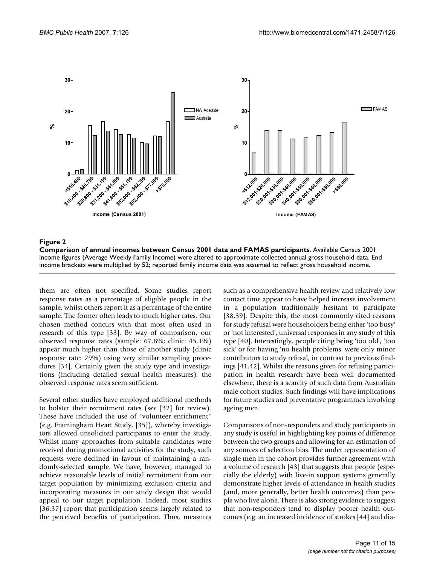

#### Figure 2

**Comparison of annual incomes between Census 2001 data and FAMAS participants**. Available Census 2001 income figures (Average Weekly Family Income) were altered to approximate collected annual gross household data. End income brackets were multiplied by 52; reported family income data was assumed to reflect gross household income.

them are often not specified. Some studies report response rates as a percentage of eligible people in the sample, whilst others report it as a percentage of the entire sample. The former often leads to much higher rates. Our chosen method concurs with that most often used in research of this type [33]. By way of comparison, our observed response rates (sample: 67.8%; clinic: 45.1%) appear much higher than those of another study (clinic response rate: 29%) using very similar sampling procedures [34]. Certainly given the study type and investigations (including detailed sexual health measures), the observed response rates seem sufficient.

Several other studies have employed additional methods to bolster their recruitment rates (see [32] for review). These have included the use of "volunteer enrichment" (e.g. Framingham Heart Study, [35]), whereby investigators allowed unsolicited participants to enter the study. Whilst many approaches from suitable candidates were received during promotional activities for the study, such requests were declined in favour of maintaining a randomly-selected sample. We have, however, managed to achieve reasonable levels of initial recruitment from our target population by minimizing exclusion criteria and incorporating measures in our study design that would appeal to our target population. Indeed, most studies [36,37] report that participation seems largely related to the perceived benefits of participation. Thus, measures

such as a comprehensive health review and relatively low contact time appear to have helped increase involvement in a population traditionally hesitant to participate [38,39]. Despite this, the most commonly cited reasons for study refusal were householders being either 'too busy' or 'not interested', universal responses in any study of this type [40]. Interestingly, people citing being 'too old', 'too sick' or for having 'no health problems' were only minor contributors to study refusal, in contrast to previous findings [41,42]. Whilst the reasons given for refusing participation in health research have been well documented elsewhere, there is a scarcity of such data from Australian male cohort studies. Such findings will have implications for future studies and preventative programmes involving ageing men.

Comparisons of non-responders and study participants in any study is useful in highlighting key points of difference between the two groups and allowing for an estimation of any sources of selection bias. The under representation of single men in the cohort provides further agreement with a volume of research [43] that suggests that people (especially the elderly) with live-in support systems generally demonstrate higher levels of attendance in health studies (and, more generally, better health outcomes) than people who live alone. There is also strong evidence to suggest that non-responders tend to display poorer health outcomes (e.g. an increased incidence of strokes [44] and dia-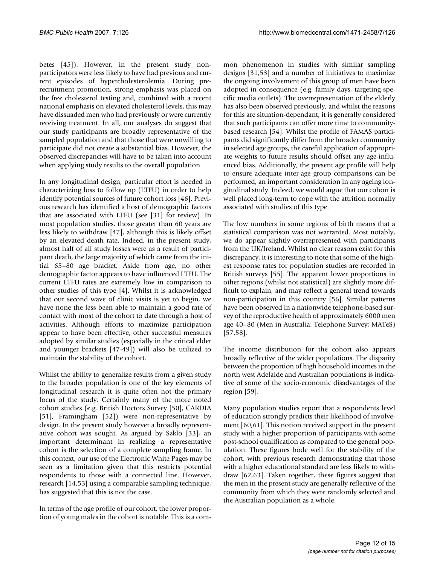betes [45]). However, in the present study nonparticipators were less likely to have had previous and current episodes of hypercholesterolemia. During prerecruitment promotion, strong emphasis was placed on the free cholesterol testing and, combined with a recent national emphasis on elevated cholesterol levels, this may have dissuaded men who had previously or were currently receiving treatment. In all, our analyses do suggest that our study participants are broadly representative of the sampled population and that those that were unwilling to participate did not create a substantial bias. However, the observed discrepancies will have to be taken into account when applying study results to the overall population.

In any longitudinal design, particular effort is needed in characterizing loss to follow up (LTFU) in order to help identify potential sources of future cohort loss [46]. Previous research has identified a host of demographic factors that are associated with LTFU (see [31] for review). In most population studies, those greater than 60 years are less likely to withdraw [47], although this is likely offset by an elevated death rate. Indeed, in the present study, almost half of all study losses were as a result of participant death, the large majority of which came from the initial 65–80 age bracket. Aside from age, no other demographic factor appears to have influenced LTFU. The current LTFU rates are extremely low in comparison to other studies of this type [4]. Whilst it is acknowledged that our second wave of clinic visits is yet to begin, we have none the less been able to maintain a good rate of contact with most of the cohort to date through a host of activities. Although efforts to maximize participation appear to have been effective, other successful measures adopted by similar studies (especially in the critical elder and younger brackets [47-49]) will also be utilized to maintain the stability of the cohort.

Whilst the ability to generalize results from a given study to the broader population is one of the key elements of longitudinal research it is quite often not the primary focus of the study. Certainly many of the more noted cohort studies (e.g. British Doctors Survey [50], CARDIA [51], Framingham [52]) were non-representative by design. In the present study however a broadly representative cohort was sought. As argued by Szklo [33], an important determinant in realizing a representative cohort is the selection of a complete sampling frame. In this context, our use of the Electronic White Pages may be seen as a limitation given that this restricts potential respondents to those with a connected line. However, research [14,53] using a comparable sampling technique, has suggested that this is not the case.

In terms of the age profile of our cohort, the lower proportion of young males in the cohort is notable. This is a common phenomenon in studies with similar sampling designs [31,53] and a number of initiatives to maximize the ongoing involvement of this group of men have been adopted in consequence (e.g. family days, targeting specific media outlets). The overrepresentation of the elderly has also been observed previously, and whilst the reasons for this are situation-dependant, it is generally considered that such participants can offer more time to communitybased research [54]. Whilst the profile of FAMAS participants did significantly differ from the broader community in selected age groups, the careful application of appropriate weights to future results should offset any age-influenced bias. Additionally, the present age profile will help to ensure adequate inter-age group comparisons can be performed, an important consideration in any ageing longitudinal study. Indeed, we would argue that our cohort is well placed long-term to cope with the attrition normally associated with studies of this type.

The low numbers in some regions of birth means that a statistical comparison was not warranted. Most notably, we do appear slightly overrepresented with participants from the UK/Ireland. Whilst no clear reasons exist for this discrepancy, it is interesting to note that some of the highest response rates for population studies are recorded in British surveys [55]. The apparent lower proportions in other regions (whilst not statistical) are slightly more difficult to explain, and may reflect a general trend towards non-participation in this country [56]. Similar patterns have been observed in a nationwide telephone-based survey of the reproductive health of approximately 6000 men age 40–80 (Men in Australia: Telephone Survey; MATeS) [57,58].

The income distribution for the cohort also appears broadly reflective of the wider populations. The disparity between the proportion of high household incomes in the north west Adelaide and Australian populations is indicative of some of the socio-economic disadvantages of the region [59].

Many population studies report that a respondents level of education strongly predicts their likelihood of involvement [60,61]. This notion received support in the present study with a higher proportion of participants with some post-school qualification as compared to the general population. These figures bode well for the stability of the cohort, with previous research demonstrating that those with a higher educational standard are less likely to withdraw [62,63]. Taken together, these figures suggest that the men in the present study are generally reflective of the community from which they were randomly selected and the Australian population as a whole.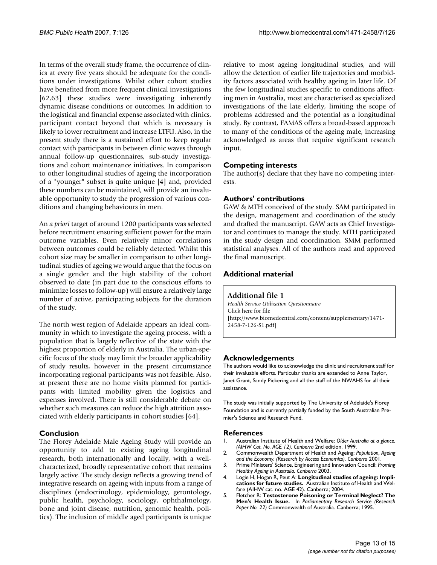In terms of the overall study frame, the occurrence of clinics at every five years should be adequate for the conditions under investigations. Whilst other cohort studies have benefited from more frequent clinical investigations [62,63] these studies were investigating inherently dynamic disease conditions or outcomes. In addition to the logistical and financial expense associated with clinics, participant contact beyond that which is necessary is likely to lower recruitment and increase LTFU. Also, in the present study there is a sustained effort to keep regular contact with participants in between clinic waves through annual follow-up questionnaires, sub-study investigations and cohort maintenance initiatives. In comparison to other longitudinal studies of ageing the incorporation of a "younger" subset is quite unique [4] and, provided these numbers can be maintained, will provide an invaluable opportunity to study the progression of various conditions and changing behaviours in men.

An *a priori* target of around 1200 participants was selected before recruitment ensuring sufficient power for the main outcome variables. Even relatively minor correlations between outcomes could be reliably detected. Whilst this cohort size may be smaller in comparison to other longitudinal studies of ageing we would argue that the focus on a single gender and the high stability of the cohort observed to date (in part due to the conscious efforts to minimize losses to follow-up) will ensure a relatively large number of active, participating subjects for the duration of the study.

The north west region of Adelaide appears an ideal community in which to investigate the ageing process, with a population that is largely reflective of the state with the highest proportion of elderly in Australia. The urban-specific focus of the study may limit the broader applicability of study results, however in the present circumstance incorporating regional participants was not feasible. Also, at present there are no home visits planned for participants with limited mobility given the logistics and expenses involved. There is still considerable debate on whether such measures can reduce the high attrition associated with elderly participants in cohort studies [64].

# **Conclusion**

The Florey Adelaide Male Ageing Study will provide an opportunity to add to existing ageing longitudinal research, both internationally and locally, with a wellcharacterized, broadly representative cohort that remains largely active. The study design reflects a growing trend of integrative research on ageing with inputs from a range of disciplines (endocrinology, epidemiology, gerontology, public health, psychology, sociology, ophthalmology, bone and joint disease, nutrition, genomic health, politics). The inclusion of middle aged participants is unique relative to most ageing longitudinal studies, and will allow the detection of earlier life trajectories and morbidity factors associated with healthy ageing in later life. Of the few longitudinal studies specific to conditions affecting men in Australia, most are characterised as specialized investigations of the late elderly, limiting the scope of problems addressed and the potential as a longitudinal study. By contrast, FAMAS offers a broad-based approach to many of the conditions of the ageing male, increasing acknowledged as areas that require significant research input.

# **Competing interests**

The author(s) declare that they have no competing interests.

# **Authors' contributions**

GAW & MTH conceived of the study. SAM participated in the design, management and coordination of the study and drafted the manuscript. GAW acts as Chief Investigator and continues to manage the study. MTH participated in the study design and coordination. SMM performed statistical analyses. All of the authors read and approved the final manuscript.

# **Additional material**

#### **Additional file 1**

*Health Service Utilization Questionnaire* Click here for file [\[http://www.biomedcentral.com/content/supplementary/1471-](http://www.biomedcentral.com/content/supplementary/1471-2458-7-126-S1.pdf) 2458-7-126-S1.pdf]

# **Acknowledgements**

The authors would like to acknowledge the clinic and recruitment staff for their invaluable efforts. Particular thanks are extended to Anne Taylor, Janet Grant, Sandy Pickering and all the staff of the NWAHS for all their assistance.

The study was initially supported by The University of Adelaide's Florey Foundation and is currently partially funded by the South Australian Premier's Science and Research Fund.

#### **References**

- 1. Australian Institute of Health and Welfare: *Older Australia at a glance. (AIHW Cat. No. AGE 12). Canberra* 2nd edition. 1999.
- 2. Commonwealth Department of Health and Ageing: *Population, Ageing and the Economy. (Research by Access Economics). Canberra* 2001.
- 3. Prime Ministers' Science, Engineering and Innovation Council: *Proming Healthy Ageing in Australia. Canberra* 2003.
- 4. Logie H, Hogan R, Peut A: **Longitudinal studies of ageing: Implications for future studies.** Australian Institute of Health and Welfare (AIHW cat. no. AGE 42). Canberra; 2004.
- 5. Fletcher R: **Testosterone Poisoning or Terminal Neglect? The Men's Health Issue.** In *Parliamentary Research Service (Research Paper No. 22)* Commonwealth of Australia. Canberra; 1995.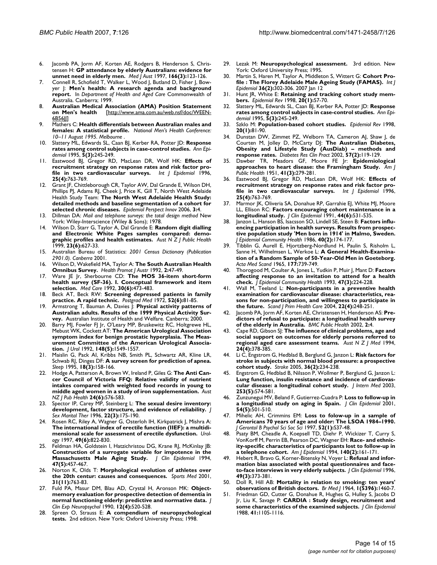- 6. Jacomb PA, Jorm AF, Korten AE, Rodgers B, Henderson S, Christensen H: **[GP attendance by elderly Australians: evidence for](http://www.ncbi.nlm.nih.gov/entrez/query.fcgi?cmd=Retrieve&db=PubMed&dopt=Abstract&list_uids=9059432) [unmet need in elderly men.](http://www.ncbi.nlm.nih.gov/entrez/query.fcgi?cmd=Retrieve&db=PubMed&dopt=Abstract&list_uids=9059432)** *Med J Aust* 1997, **166(3):**123-126.
- 7. Connell R, Schofield T, Walker L, Wood J, Butland D, Fisher J, Bowyer J: **Men's health: A research agenda and background report.** In *Department of Health and Aged Care* Commonwealth of Australia. Canberra; 1999.
- 8. **Australian Medical Association (AMA) Position Statement on Men's health** [\[http://www.ama.com.au/web.nsf/doc/WEEN-](http://www.ama.com.au/web.nsf/doc/WEEN-6B56JJ)[6B56JJ\]](http://www.ama.com.au/web.nsf/doc/WEEN-6B56JJ)
- 9. Mathers C: **Health differentials between Australian males and females: A statistical profile.** *National Men's Health Conference: 10–11 August 1995. Melbourne* .
- 10. Slattery ML, Edwards SL, Caan BJ, Kerber RA, Potter JD: **[Response](http://www.ncbi.nlm.nih.gov/entrez/query.fcgi?cmd=Retrieve&db=PubMed&dopt=Abstract&list_uids=7606315) [rates among control subjects in case-control studies.](http://www.ncbi.nlm.nih.gov/entrez/query.fcgi?cmd=Retrieve&db=PubMed&dopt=Abstract&list_uids=7606315)** *Ann Epidemiol* 1995, **5(3):**245-249.
- 11. Eastwood BJ, Gregor RD, MacLean DR, Wolf HK: **[Effects of](http://www.ncbi.nlm.nih.gov/entrez/query.fcgi?cmd=Retrieve&db=PubMed&dopt=Abstract&list_uids=8921454) [recruitment strategy on response rates and risk factor pro](http://www.ncbi.nlm.nih.gov/entrez/query.fcgi?cmd=Retrieve&db=PubMed&dopt=Abstract&list_uids=8921454)[file in two cardiovascular surveys.](http://www.ncbi.nlm.nih.gov/entrez/query.fcgi?cmd=Retrieve&db=PubMed&dopt=Abstract&list_uids=8921454)** *Int J Epidemiol* 1996, **25(4):**763-769.
- 12. Grant JF, Chittleborough CR, Taylor AW, Dal Grande E, Wilson DH, Phillips PJ, Adams RJ, Cheek J, Price K, Gill T, North West Adelaide Health Study Team: **[The North West Adelaide Health Study:](http://www.ncbi.nlm.nih.gov/entrez/query.fcgi?cmd=Retrieve&db=PubMed&dopt=Abstract&list_uids=16608529) [detailed methods and baseline segmentation of a cohort for](http://www.ncbi.nlm.nih.gov/entrez/query.fcgi?cmd=Retrieve&db=PubMed&dopt=Abstract&list_uids=16608529) [selected chronic diseases.](http://www.ncbi.nlm.nih.gov/entrez/query.fcgi?cmd=Retrieve&db=PubMed&dopt=Abstract&list_uids=16608529)** *Epidemiol Perspect Innov* 2006, **3:**4.
- 13. Dillman DA: *Mail and telephone surveys: the total design method* New York: Wiley-Interscience (Wiley & Sons); 1978.
- 14. Wilson D, Starr G, Taylor A, Dal Grande E: **[Random digit dialling](http://www.ncbi.nlm.nih.gov/entrez/query.fcgi?cmd=Retrieve&db=PubMed&dopt=Abstract&list_uids=10641355) [and Electronic White Pages samples compared: demo](http://www.ncbi.nlm.nih.gov/entrez/query.fcgi?cmd=Retrieve&db=PubMed&dopt=Abstract&list_uids=10641355)[graphic profiles and health estimates.](http://www.ncbi.nlm.nih.gov/entrez/query.fcgi?cmd=Retrieve&db=PubMed&dopt=Abstract&list_uids=10641355)** *Aust N Z J Public Health* 1999, **23(6):**627-33.
- 15. Australian Bureau of Statistics: *2001 Census Dictionary (Publication 2901.0). Canberra* 2001.
- 16. Wilson D, Wakefield MA, Taylor A: **The South Australian Health Omnibus Survey.** *Health Promot J Austr* 1992, **2:**47-49.
- 17. Ware JE Jr, Sherbourne CD: **[The MOS 36-item short-form](http://www.ncbi.nlm.nih.gov/entrez/query.fcgi?cmd=Retrieve&db=PubMed&dopt=Abstract&list_uids=1593914) [health survey \(SF-36\). I. Conceptual framework and item](http://www.ncbi.nlm.nih.gov/entrez/query.fcgi?cmd=Retrieve&db=PubMed&dopt=Abstract&list_uids=1593914) [selection.](http://www.ncbi.nlm.nih.gov/entrez/query.fcgi?cmd=Retrieve&db=PubMed&dopt=Abstract&list_uids=1593914)** *Med Care* 1992, **30(6):**473-483.
- 18. Beck AT, Beck RW: **[Screening depressed patients in family](http://www.ncbi.nlm.nih.gov/entrez/query.fcgi?cmd=Retrieve&db=PubMed&dopt=Abstract&list_uids=4635613) [practice. A rapid technic.](http://www.ncbi.nlm.nih.gov/entrez/query.fcgi?cmd=Retrieve&db=PubMed&dopt=Abstract&list_uids=4635613)** *Postgrad Med* 1972, **52(6):**81-85.
- Armstrong T, Bauman A, Davies J: Physical activity patterns of **Australian adults. Results of the 1999 Physical Activity Survey.** Australian Institute of Health and Welfare. Canberra; 2000.
- 20. Barry MJ, Fowler FJ Jr, O'Leary MP, Bruskewitz RC, Holtgrewe HL, Mebust WK, Cockett AT: **[The American Urological Association](http://www.ncbi.nlm.nih.gov/entrez/query.fcgi?cmd=Retrieve&db=PubMed&dopt=Abstract&list_uids=1279218) [symptom index for benign prostatic hyperplasia. The Meas](http://www.ncbi.nlm.nih.gov/entrez/query.fcgi?cmd=Retrieve&db=PubMed&dopt=Abstract&list_uids=1279218)urement Committee of the American Urological Associa[tion.](http://www.ncbi.nlm.nih.gov/entrez/query.fcgi?cmd=Retrieve&db=PubMed&dopt=Abstract&list_uids=1279218)** *J Urol* 1992, **148(5):**1549-1557.
- 21. Maislin G, Pack AI, Kribbs NB, Smith PL, Schwartz AR, Kline LR, Schwab RJ, Dinges DF: **[A survey screen for prediction of apnea.](http://www.ncbi.nlm.nih.gov/entrez/query.fcgi?cmd=Retrieve&db=PubMed&dopt=Abstract&list_uids=7610311)** *Sleep* 1995, **18(3):**158-166.
- 22. Hodge A, Patterson A, Brown W, Ireland P, Giles G: **The Anti Cancer Council of Victoria FFQ: Relative validity of nutrient intakes compared with weighted food records in young to middle aged women in a study of iron supplementation.** *Aust NZ J Pub Health* **24(6):**576-583.
- 23. Spector IP, Carey MP, Steinberg L: **[The sexual desire inventory:](http://www.ncbi.nlm.nih.gov/entrez/query.fcgi?cmd=Retrieve&db=PubMed&dopt=Abstract&list_uids=8880651) [development, factor structure, and evidence of reliability.](http://www.ncbi.nlm.nih.gov/entrez/query.fcgi?cmd=Retrieve&db=PubMed&dopt=Abstract&list_uids=8880651)** *J Sex Marital Ther* 1996, **22(3):**175-190.
- 24. Rosen RC, Riley A, Wagner G, Osterloh IH, Kirkpatrick J, Mishra A: **[The international index of erectile function \(IIEF\): a multidi](http://www.ncbi.nlm.nih.gov/entrez/query.fcgi?cmd=Retrieve&db=PubMed&dopt=Abstract&list_uids=9187685)[mensional scale for assessment of erectile dysfunction.](http://www.ncbi.nlm.nih.gov/entrez/query.fcgi?cmd=Retrieve&db=PubMed&dopt=Abstract&list_uids=9187685)** *Urology* 1997, **49(6):**822-830.
- 25. Feldman HA, Goldstein I, Hatzichristou DG, Krane RJ, McKinlay JB: **[Construction of a surrogate variable for impotence in the](http://www.ncbi.nlm.nih.gov/entrez/query.fcgi?cmd=Retrieve&db=PubMed&dopt=Abstract&list_uids=7730871) [Massachusetts Male Aging Study.](http://www.ncbi.nlm.nih.gov/entrez/query.fcgi?cmd=Retrieve&db=PubMed&dopt=Abstract&list_uids=7730871)** *J Clin Epidemiol* 1994, **47(5):**457-467.
- 26. Norton K, Olds T: **[Morphological evolution of athletes over](http://www.ncbi.nlm.nih.gov/entrez/query.fcgi?cmd=Retrieve&db=PubMed&dopt=Abstract&list_uids=11583103) [the 20th centur: causes and consequences.](http://www.ncbi.nlm.nih.gov/entrez/query.fcgi?cmd=Retrieve&db=PubMed&dopt=Abstract&list_uids=11583103)** *Sports Med* 2001, **31(11):**763-83.
- 27. Fuld PA, Masur DM, Blau AD, Crystal H, Aronson MK: **[Object](http://www.ncbi.nlm.nih.gov/entrez/query.fcgi?cmd=Retrieve&db=PubMed&dopt=Abstract&list_uids=2211974)[memory evaluation for prospective detection of dementia in](http://www.ncbi.nlm.nih.gov/entrez/query.fcgi?cmd=Retrieve&db=PubMed&dopt=Abstract&list_uids=2211974) [normal functioning elderly: predictive and normative data.](http://www.ncbi.nlm.nih.gov/entrez/query.fcgi?cmd=Retrieve&db=PubMed&dopt=Abstract&list_uids=2211974)** *J Clin Exp Neuropsychol* 1990, **12(4):**520-528.
- 28. Spreen O, Strauss E: **A compendium of neuropsychological tests.** 2nd edition. New York: Oxford University Press; 1998.
- 29. Lezak M: **Neuropsychological assessment.** 3rd edition. New York: Oxford University Press; 1995.
- 30. Martin S, Haren M, Taylor A, Middleton S, Wittert G: **[Cohort Pro](http://www.ncbi.nlm.nih.gov/entrez/query.fcgi?cmd=Retrieve&db=PubMed&dopt=Abstract&list_uids=17220174)[file : The Florey Adelaide Male Ageing Study \(FAMAS\).](http://www.ncbi.nlm.nih.gov/entrez/query.fcgi?cmd=Retrieve&db=PubMed&dopt=Abstract&list_uids=17220174)** *Int J Epidemiol* **36(2):**302-306. 2007 Jan 12
- 31. Hunt JR, White E: **[Retaining and tracking cohort study mem](http://www.ncbi.nlm.nih.gov/entrez/query.fcgi?cmd=Retrieve&db=PubMed&dopt=Abstract&list_uids=9762509)[bers.](http://www.ncbi.nlm.nih.gov/entrez/query.fcgi?cmd=Retrieve&db=PubMed&dopt=Abstract&list_uids=9762509)** *Epidemiol Rev* 1998, **20(1):**57-70.
- 32. Slattery ML, Edwards SL, Caan BJ, Kerber RA, Potter JD: **[Response](http://www.ncbi.nlm.nih.gov/entrez/query.fcgi?cmd=Retrieve&db=PubMed&dopt=Abstract&list_uids=7606315) [rates among control subjects in case-control studies.](http://www.ncbi.nlm.nih.gov/entrez/query.fcgi?cmd=Retrieve&db=PubMed&dopt=Abstract&list_uids=7606315)** *Ann Epidemiol* 1995, **5(3):**245-249.
- 33. Szklo M: **[Population-based cohort studies.](http://www.ncbi.nlm.nih.gov/entrez/query.fcgi?cmd=Retrieve&db=PubMed&dopt=Abstract&list_uids=9762511)** *Epidemiol Rev* 1998, **20(1):**81-90.
- 34. Dunstan DW, Zimmet PZ, Welborn TA, Cameron AJ, Shaw J, de Courten M, Jolley D, McCarty DJ: **[The Australian Diabetes,](http://www.ncbi.nlm.nih.gov/entrez/query.fcgi?cmd=Retrieve&db=PubMed&dopt=Abstract&list_uids=12062857) [Obesity and Lifestyle Study \(AusDiab\) – methods and](http://www.ncbi.nlm.nih.gov/entrez/query.fcgi?cmd=Retrieve&db=PubMed&dopt=Abstract&list_uids=12062857) [response rates.](http://www.ncbi.nlm.nih.gov/entrez/query.fcgi?cmd=Retrieve&db=PubMed&dopt=Abstract&list_uids=12062857)** *Diabetes Res Clin Pract* 2002, **57(2):**119-129.
- 35. Dawber TR, Meadors GF, Moore FE Jr: **Epidemiological approaches to heart disease: the Framingham Study.** *Am J Public Health* 1951, **41(3):**279-281.
- 36. Eastwood BJ, Gregor RD, MacLean DR, Wolf HK: **[Effects of](http://www.ncbi.nlm.nih.gov/entrez/query.fcgi?cmd=Retrieve&db=PubMed&dopt=Abstract&list_uids=8921454) [recruitment strategy on response rates and risk factor pro](http://www.ncbi.nlm.nih.gov/entrez/query.fcgi?cmd=Retrieve&db=PubMed&dopt=Abstract&list_uids=8921454)[file in two cardiovascular surveys.](http://www.ncbi.nlm.nih.gov/entrez/query.fcgi?cmd=Retrieve&db=PubMed&dopt=Abstract&list_uids=8921454)** *Int J Epidemiol* 1996, **25(4):**763-769.
- 37. Marmor JK, Oliveria SA, Donahue RP, Garrahie EJ, White MJ, Moore LL, Ellison RC: **[Factors encouraging cohort maintenance in a](http://www.ncbi.nlm.nih.gov/entrez/query.fcgi?cmd=Retrieve&db=PubMed&dopt=Abstract&list_uids=2037857) [longitudinal study.](http://www.ncbi.nlm.nih.gov/entrez/query.fcgi?cmd=Retrieve&db=PubMed&dopt=Abstract&list_uids=2037857)** *J Clin Epidemiol* 1991, **44(6):**531-535.
- Janzon L, Hanson BS, Isacsson SO, Lindell SE, Steen B: [Factors influ](http://www.ncbi.nlm.nih.gov/entrez/query.fcgi?cmd=Retrieve&db=PubMed&dopt=Abstract&list_uids=3746180)**[encing participation in health surveys. Results from prospec](http://www.ncbi.nlm.nih.gov/entrez/query.fcgi?cmd=Retrieve&db=PubMed&dopt=Abstract&list_uids=3746180)tive population study 'Men born in 1914' in Malmo, Sweden.** *J Epidemiol Community Health* 1986, **40(2):**174-177.
- Tibblin G, Aurell E, Hjortzberg-Nordlund H, Paulin S, Risholm L, Sanne H, Wilhelmsen L, Werkoe L: **[A General Health-Examina](http://www.ncbi.nlm.nih.gov/entrez/query.fcgi?cmd=Retrieve&db=PubMed&dopt=Abstract&list_uids=14334667)[tion of a Random Sample of 50-Year-Old Men in Goeteborg.](http://www.ncbi.nlm.nih.gov/entrez/query.fcgi?cmd=Retrieve&db=PubMed&dopt=Abstract&list_uids=14334667)** *Acta Med Scand* 1965, **177:**739-749.
- 40. Thorogood M, Coulter A, Jones L, Yudkin P, Muir J, Mant D: **[Factors](http://www.ncbi.nlm.nih.gov/entrez/query.fcgi?cmd=Retrieve&db=PubMed&dopt=Abstract&list_uids=8350036) [affecting response to an invitation to attend for a health](http://www.ncbi.nlm.nih.gov/entrez/query.fcgi?cmd=Retrieve&db=PubMed&dopt=Abstract&list_uids=8350036) [check.](http://www.ncbi.nlm.nih.gov/entrez/query.fcgi?cmd=Retrieve&db=PubMed&dopt=Abstract&list_uids=8350036)** *J Epidemiol Community Health* 1993, **47(3):**224-228.
- 41. Wall M, Teeland L: **[Non-participants in a preventive health](http://www.ncbi.nlm.nih.gov/entrez/query.fcgi?cmd=Retrieve&db=PubMed&dopt=Abstract&list_uids=15765642) [examination for cardiovascular disease: characteristics, rea](http://www.ncbi.nlm.nih.gov/entrez/query.fcgi?cmd=Retrieve&db=PubMed&dopt=Abstract&list_uids=15765642)sons for non-participation, and willingness to participate in [the future.](http://www.ncbi.nlm.nih.gov/entrez/query.fcgi?cmd=Retrieve&db=PubMed&dopt=Abstract&list_uids=15765642)** *Scand J Prim Health Care* 2004, **22(4):**248-251.
- 42. Jacomb PA, Jorm AF, Korten AE, Christensen H, Henderson AS: **[Pre](http://www.ncbi.nlm.nih.gov/entrez/query.fcgi?cmd=Retrieve&db=PubMed&dopt=Abstract&list_uids=11914148)[dictors of refusal to participate: a longitudinal health survey](http://www.ncbi.nlm.nih.gov/entrez/query.fcgi?cmd=Retrieve&db=PubMed&dopt=Abstract&list_uids=11914148) [of the elderly in Australia.](http://www.ncbi.nlm.nih.gov/entrez/query.fcgi?cmd=Retrieve&db=PubMed&dopt=Abstract&list_uids=11914148)** *BMC Public Health* 2002, **2:**4.
- Cape RD, Gibson S|: [The influence of clinical problems, age and](http://www.ncbi.nlm.nih.gov/entrez/query.fcgi?cmd=Retrieve&db=PubMed&dopt=Abstract&list_uids=7980234) **[social support on outcomes for elderly persons referred to](http://www.ncbi.nlm.nih.gov/entrez/query.fcgi?cmd=Retrieve&db=PubMed&dopt=Abstract&list_uids=7980234) [regional aged care assessment teams.](http://www.ncbi.nlm.nih.gov/entrez/query.fcgi?cmd=Retrieve&db=PubMed&dopt=Abstract&list_uids=7980234)** *Aust N Z J Med* 1994, **24(4):**378-385.
- 44. Li C, Engstrom G, Hedblad B, Berglund G, Janzon L: **[Risk factors for](http://www.ncbi.nlm.nih.gov/entrez/query.fcgi?cmd=Retrieve&db=PubMed&dopt=Abstract&list_uids=15618439) [stroke in subjects with normal blood pressure: a prospective](http://www.ncbi.nlm.nih.gov/entrez/query.fcgi?cmd=Retrieve&db=PubMed&dopt=Abstract&list_uids=15618439) [cohort study.](http://www.ncbi.nlm.nih.gov/entrez/query.fcgi?cmd=Retrieve&db=PubMed&dopt=Abstract&list_uids=15618439)** *Stroke* 2005, **36(2):**234-238.
- Engstrom G, Hedblad B, Nilsson P, Wollmer P, Berglund G, Janzon L: **[Lung function, insulin resistance and incidence of cardiovas](http://www.ncbi.nlm.nih.gov/entrez/query.fcgi?cmd=Retrieve&db=PubMed&dopt=Abstract&list_uids=12702035)[cular disease: a longitudinal cohort study.](http://www.ncbi.nlm.nih.gov/entrez/query.fcgi?cmd=Retrieve&db=PubMed&dopt=Abstract&list_uids=12702035)** *J Intern Med* 2003, **253(5):**574-581.
- 46. Zunzunegui MV, Beland F, Gutierrez-Cuadra P: **[Loss to follow-up in](http://www.ncbi.nlm.nih.gov/entrez/query.fcgi?cmd=Retrieve&db=PubMed&dopt=Abstract&list_uids=11337214) [a longitudinal study on aging in Spain.](http://www.ncbi.nlm.nih.gov/entrez/query.fcgi?cmd=Retrieve&db=PubMed&dopt=Abstract&list_uids=11337214)** *J Clin Epidemiol* 2001, **54(5):**501-510.
- 47. Mihelic AH, Crimmins EM: **[Loss to folow-up in a sample of](http://www.ncbi.nlm.nih.gov/entrez/query.fcgi?cmd=Retrieve&db=PubMed&dopt=Abstract&list_uids=9008680) [Americans 70 years of age and older: The LSOA 1984–1990.](http://www.ncbi.nlm.nih.gov/entrez/query.fcgi?cmd=Retrieve&db=PubMed&dopt=Abstract&list_uids=9008680)** *J Gerontol B Psychol Sci Soc Sci* 1997, **52(1):**S37-48.
- 48. Psaty BM, Cheadle A, Koepsell TD, Diehr P, Wickizer T, Curry S, VonKorff M, Perrin EB, Pearson DC, Wagner EH: **[Race- and ethnic](http://www.ncbi.nlm.nih.gov/entrez/query.fcgi?cmd=Retrieve&db=PubMed&dopt=Abstract&list_uids=8023804)[ity-specific characteristics of participants lost to follow-up in](http://www.ncbi.nlm.nih.gov/entrez/query.fcgi?cmd=Retrieve&db=PubMed&dopt=Abstract&list_uids=8023804) [a telephone cohort.](http://www.ncbi.nlm.nih.gov/entrez/query.fcgi?cmd=Retrieve&db=PubMed&dopt=Abstract&list_uids=8023804)** *Am J Epidemiol* 1994, **140(2):**161-171.
- 49. Hebert R, Bravo G, Korner-Bitensky N, Voyer L: **[Refusal and infor](http://www.ncbi.nlm.nih.gov/entrez/query.fcgi?cmd=Retrieve&db=PubMed&dopt=Abstract&list_uids=8676188)[mation bias associated with postal questionnaires and face](http://www.ncbi.nlm.nih.gov/entrez/query.fcgi?cmd=Retrieve&db=PubMed&dopt=Abstract&list_uids=8676188)[to-face interviews in very elderly subjects.](http://www.ncbi.nlm.nih.gov/entrez/query.fcgi?cmd=Retrieve&db=PubMed&dopt=Abstract&list_uids=8676188)** *J Clin Epidemiol* 1996, **49(3):**373-381.
- 50. Doll R, Hill AB: **[Mortality in relation to smoking: ten years'](http://www.ncbi.nlm.nih.gov/entrez/query.fcgi?cmd=Retrieve&db=PubMed&dopt=Abstract&list_uids=14132080) [observations of British doctors.](http://www.ncbi.nlm.nih.gov/entrez/query.fcgi?cmd=Retrieve&db=PubMed&dopt=Abstract&list_uids=14132080)** *Br Med J* 1964, **1(5396):**1460-7.
- 51. Friedman GD, Cutter G, Donahue R, Hughes G, Hulley S, Jacobs D Jr, Liu K, Savage P: **[CARDIA : Study design, recruitment and](http://www.ncbi.nlm.nih.gov/entrez/query.fcgi?cmd=Retrieve&db=PubMed&dopt=Abstract&list_uids=3204420) [some characteristics of the examined subjects.](http://www.ncbi.nlm.nih.gov/entrez/query.fcgi?cmd=Retrieve&db=PubMed&dopt=Abstract&list_uids=3204420)** *J Clin Epidemiol* 1988, **41:**1105-1116.